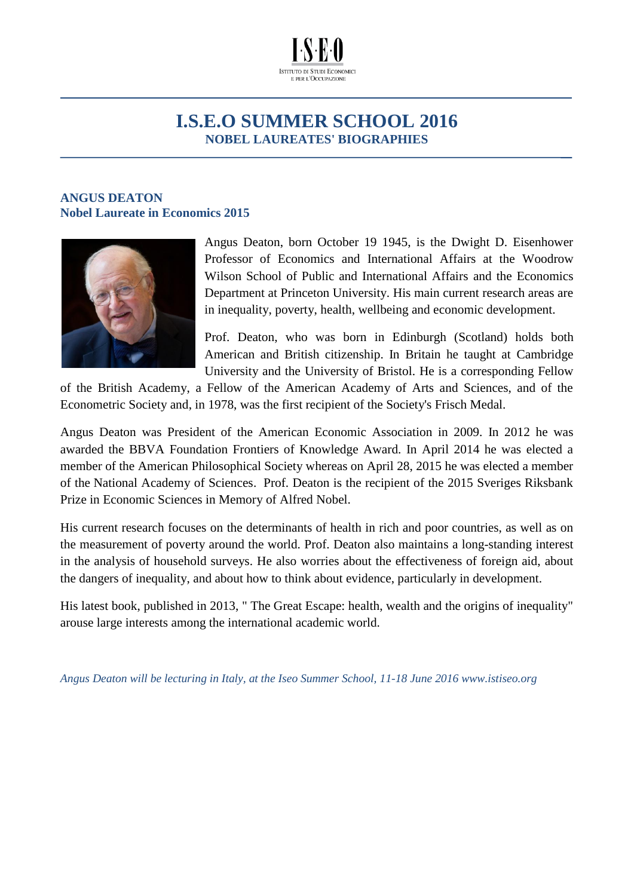

## **I.S.E.O SUMMER SCHOOL 2016 NOBEL LAUREATES' BIOGRAPHIES**

## **ANGUS DEATON Nobel Laureate in Economics 2015**



Angus Deaton, born October 19 1945, is the Dwight D. Eisenhower Professor of Economics and International Affairs at the [Woodrow](http://wws.princeton.edu/)  [Wilson School of Public and International Affairs](http://wws.princeton.edu/) and the [Economics](http://www.econ.princeton.edu/)  [Department](http://www.econ.princeton.edu/) at Princeton University. His main current research areas are in inequality, poverty, health, wellbeing and economic development.

Prof. Deaton, who was born in Edinburgh (Scotland) holds both American and British citizenship. In Britain he taught at [Cambridge](http://www.cam.ac.uk/)  [University](http://www.cam.ac.uk/) and the [University of](http://www.bris.ac.uk/) Bristol. He is a corresponding Fellow

of the British Academy, a Fellow of the American Academy of Arts and Sciences, and of the Econometric Society and, in 1978, was the first recipient of the Society's Frisch Medal.

Angus Deaton was President of the American Economic Association in 2009. In 2012 he was awarded the BBVA Foundation Frontiers of Knowledge Award. In April 2014 he was elected a member of the American Philosophical Society whereas on April 28, 2015 he was elected a member of the [National Academy of Sciences.](http://www.princeton.edu/main/news/archive/S43/02/34K43/index.xml?section=people) Prof. Deaton is the recipient of the 2015 Sveriges Riksbank Prize in Economic Sciences in Memory of Alfred Nobel.

His current research focuses on the determinants of health in rich and poor countries, as well as on the measurement of poverty around the world. Prof. Deaton also maintains a long-standing interest in the analysis of household surveys. He also worries about the effectiveness of foreign aid, about the dangers of inequality, and about how to think about evidence, particularly in development.

His latest book, published in 2013, " The Great Escape: health, wealth and the origins of inequality" arouse large interests among the international academic world.

*Angus Deaton will be lecturing in Italy, at the Iseo Summer School, 11-18 June 2016 www.istiseo.org*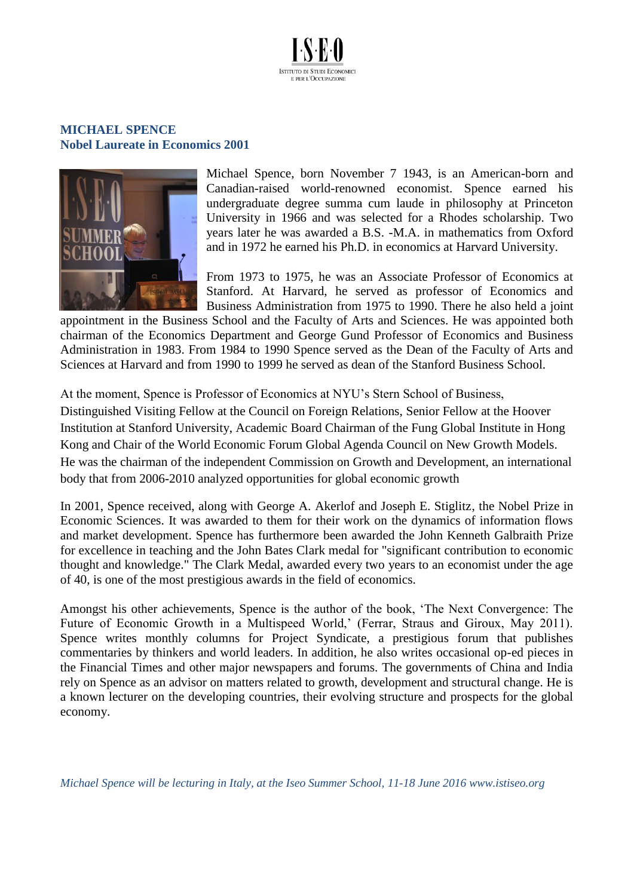

## **MICHAEL SPENCE Nobel Laureate in Economics 2001**



Michael Spence, born November 7 1943, is an American-born and Canadian-raised world-renowned economist. Spence earned his undergraduate degree summa cum laude in philosophy at Princeton University in 1966 and was selected for a Rhodes scholarship. Two years later he was awarded a B.S. -M.A. in mathematics from Oxford and in 1972 he earned his Ph.D. in economics at Harvard University.

From 1973 to 1975, he was an Associate Professor of Economics at Stanford. At Harvard, he served as professor of Economics and Business Administration from 1975 to 1990. There he also held a joint

appointment in the Business School and the Faculty of Arts and Sciences. He was appointed both chairman of the Economics Department and George Gund Professor of Economics and Business Administration in 1983. From 1984 to 1990 Spence served as the Dean of the Faculty of Arts and Sciences at Harvard and from 1990 to 1999 he served as dean of the Stanford Business School.

At the moment, Spence is Professor of Economics at NYU's Stern School of Business, Distinguished Visiting Fellow at the Council on Foreign Relations, Senior Fellow at the Hoover Institution at Stanford University, Academic Board Chairman of the Fung Global Institute in Hong Kong and Chair of the World Economic Forum Global Agenda Council on New Growth Models. He was the chairman of the independent Commission on Growth and Development, an international body that from 2006-2010 analyzed opportunities for global economic growth

In 2001, Spence received, along with George A. Akerlof and Joseph E. Stiglitz, the Nobel Prize in Economic Sciences. It was awarded to them for their work on the dynamics of information flows and market development. Spence has furthermore been awarded the John Kenneth Galbraith Prize for excellence in teaching and the John Bates Clark medal for "significant contribution to economic thought and knowledge." The Clark Medal, awarded every two years to an economist under the age of 40, is one of the most prestigious awards in the field of economics.

Amongst his other achievements, Spence is the author of the book, 'The Next Convergence: The Future of Economic Growth in a Multispeed World,' (Ferrar, Straus and Giroux, May 2011). Spence writes monthly columns for Project Syndicate, a prestigious forum that publishes commentaries by thinkers and world leaders. In addition, he also writes occasional op-ed pieces in the Financial Times and other major newspapers and forums. The governments of China and India rely on Spence as an advisor on matters related to growth, development and structural change. He is a known lecturer on the developing countries, their evolving structure and prospects for the global economy.

*Michael Spence will be lecturing in Italy, at the Iseo Summer School, 11-18 June 2016 www.istiseo.org*